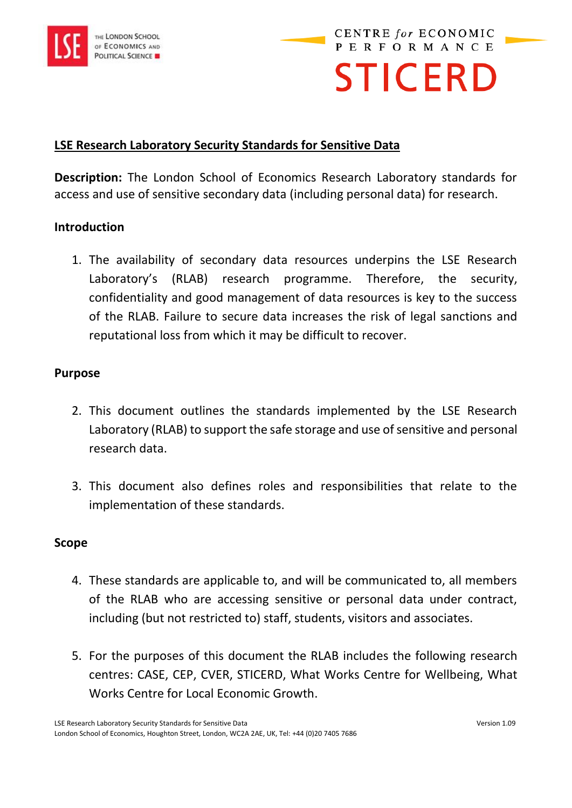

**CENTRE for ECONOMIC PERFORMANCE STICERD** 

## **LSE Research Laboratory Security Standards for Sensitive Data**

**Description:** The London School of Economics Research Laboratory standards for access and use of sensitive secondary data (including personal data) for research.

### **Introduction**

1. The availability of secondary data resources underpins the LSE Research Laboratory's (RLAB) research programme. Therefore, the security, confidentiality and good management of data resources is key to the success of the RLAB. Failure to secure data increases the risk of legal sanctions and reputational loss from which it may be difficult to recover.

#### **Purpose**

- 2. This document outlines the standards implemented by the LSE Research Laboratory (RLAB) to support the safe storage and use of sensitive and personal research data.
- 3. This document also defines roles and responsibilities that relate to the implementation of these standards.

#### **Scope**

- 4. These standards are applicable to, and will be communicated to, all members of the RLAB who are accessing sensitive or personal data under contract, including (but not restricted to) staff, students, visitors and associates.
- 5. For the purposes of this document the RLAB includes the following research centres: CASE, CEP, CVER, STICERD, What Works Centre for Wellbeing, What Works Centre for Local Economic Growth.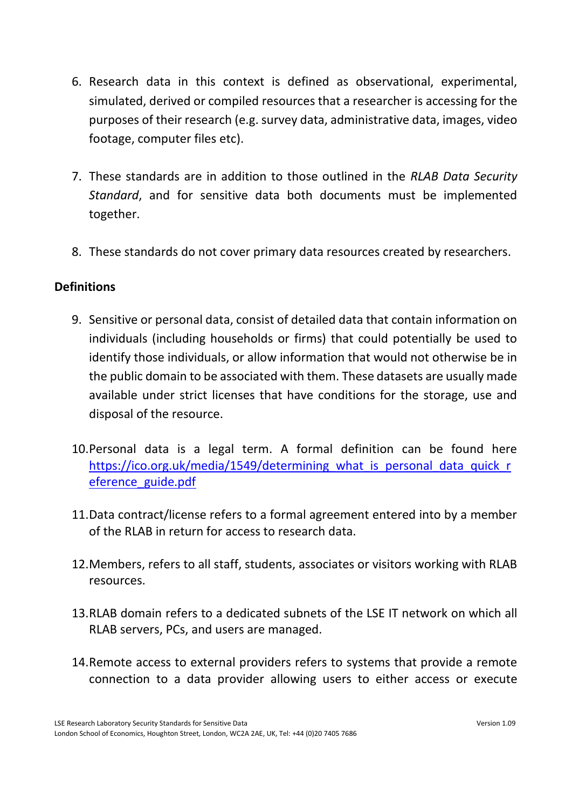- 6. Research data in this context is defined as observational, experimental, simulated, derived or compiled resources that a researcher is accessing for the purposes of their research (e.g. survey data, administrative data, images, video footage, computer files etc).
- 7. These standards are in addition to those outlined in the *RLAB Data Security Standard*, and for sensitive data both documents must be implemented together.
- 8. These standards do not cover primary data resources created by researchers.

## **Definitions**

- 9. Sensitive or personal data, consist of detailed data that contain information on individuals (including households or firms) that could potentially be used to identify those individuals, or allow information that would not otherwise be in the public domain to be associated with them. These datasets are usually made available under strict licenses that have conditions for the storage, use and disposal of the resource.
- 10.Personal data is a legal term. A formal definition can be found here [https://ico.org.uk/media/1549/determining\\_what\\_is\\_personal\\_data\\_quick\\_r](https://ico.org.uk/media/1549/determining_what_is_personal_data_quick_reference_guide.pdf) [eference\\_guide.pdf](https://ico.org.uk/media/1549/determining_what_is_personal_data_quick_reference_guide.pdf)
- 11.Data contract/license refers to a formal agreement entered into by a member of the RLAB in return for access to research data.
- 12.Members, refers to all staff, students, associates or visitors working with RLAB resources.
- 13.RLAB domain refers to a dedicated subnets of the LSE IT network on which all RLAB servers, PCs, and users are managed.
- 14.Remote access to external providers refers to systems that provide a remote connection to a data provider allowing users to either access or execute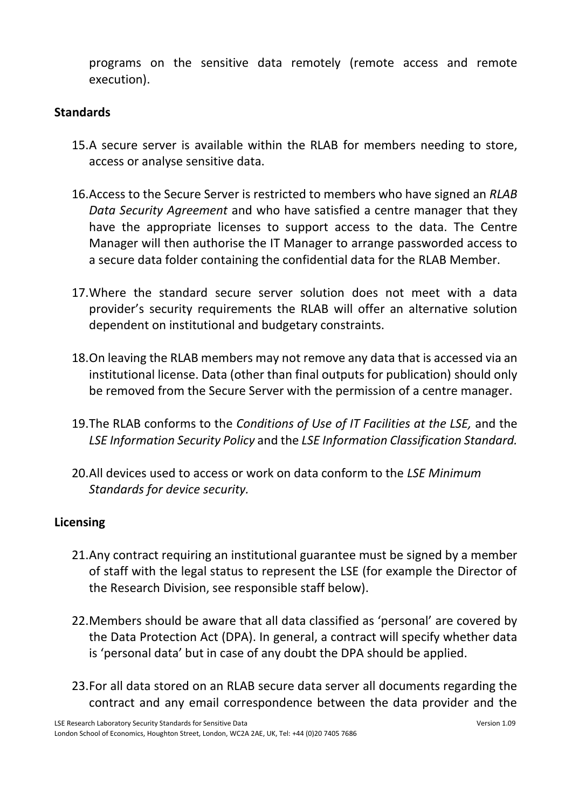programs on the sensitive data remotely (remote access and remote execution).

## **Standards**

- 15.A secure server is available within the RLAB for members needing to store, access or analyse sensitive data.
- 16.Access to the Secure Server is restricted to members who have signed an *RLAB Data Security Agreement* and who have satisfied a centre manager that they have the appropriate licenses to support access to the data. The Centre Manager will then authorise the IT Manager to arrange passworded access to a secure data folder containing the confidential data for the RLAB Member.
- 17.Where the standard secure server solution does not meet with a data provider's security requirements the RLAB will offer an alternative solution dependent on institutional and budgetary constraints.
- 18.On leaving the RLAB members may not remove any data that is accessed via an institutional license. Data (other than final outputs for publication) should only be removed from the Secure Server with the permission of a centre manager.
- 19.The RLAB conforms to the *Conditions of Use of IT Facilities at the LSE,* and the *LSE Information Security Policy* and the *LSE Information Classification Standard.*
- 20.All devices used to access or work on data conform to the *LSE Minimum Standards for device security.*

### **Licensing**

- 21.Any contract requiring an institutional guarantee must be signed by a member of staff with the legal status to represent the LSE (for example the Director of the Research Division, see responsible staff below).
- 22.Members should be aware that all data classified as 'personal' are covered by the Data Protection Act (DPA). In general, a contract will specify whether data is 'personal data' but in case of any doubt the DPA should be applied.
- 23.For all data stored on an RLAB secure data server all documents regarding the contract and any email correspondence between the data provider and the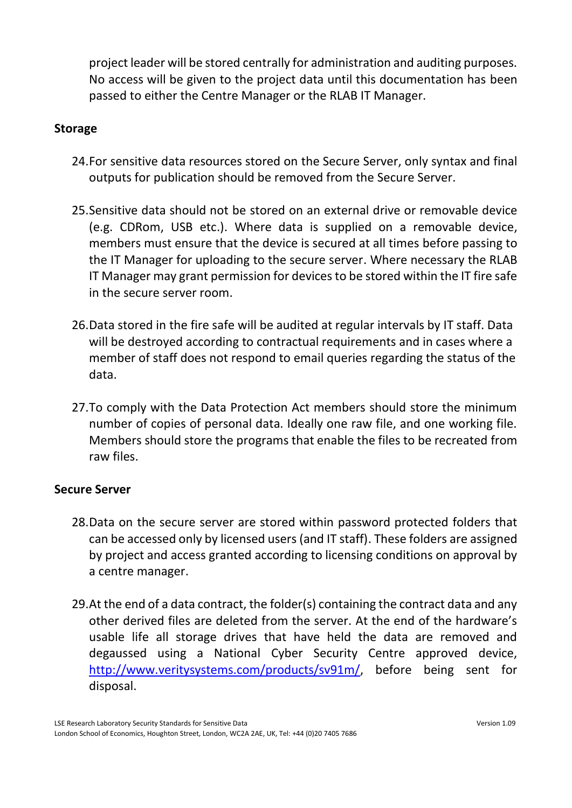project leader will be stored centrally for administration and auditing purposes. No access will be given to the project data until this documentation has been passed to either the Centre Manager or the RLAB IT Manager.

## **Storage**

- 24.For sensitive data resources stored on the Secure Server, only syntax and final outputs for publication should be removed from the Secure Server.
- 25.Sensitive data should not be stored on an external drive or removable device (e.g. CDRom, USB etc.). Where data is supplied on a removable device, members must ensure that the device is secured at all times before passing to the IT Manager for uploading to the secure server. Where necessary the RLAB IT Manager may grant permission for devices to be stored within the IT fire safe in the secure server room.
- 26.Data stored in the fire safe will be audited at regular intervals by IT staff. Data will be destroyed according to contractual requirements and in cases where a member of staff does not respond to email queries regarding the status of the data.
- 27.To comply with the Data Protection Act members should store the minimum number of copies of personal data. Ideally one raw file, and one working file. Members should store the programs that enable the files to be recreated from raw files.

# **Secure Server**

- 28.Data on the secure server are stored within password protected folders that can be accessed only by licensed users (and IT staff). These folders are assigned by project and access granted according to licensing conditions on approval by a centre manager.
- 29.At the end of a data contract, the folder(s) containing the contract data and any other derived files are deleted from the server. At the end of the hardware's usable life all storage drives that have held the data are removed and degaussed using a National Cyber Security Centre approved device, [http://www.veritysystems.com/products/sv91m/,](http://www.veritysystems.com/products/sv91m/) before being sent for disposal.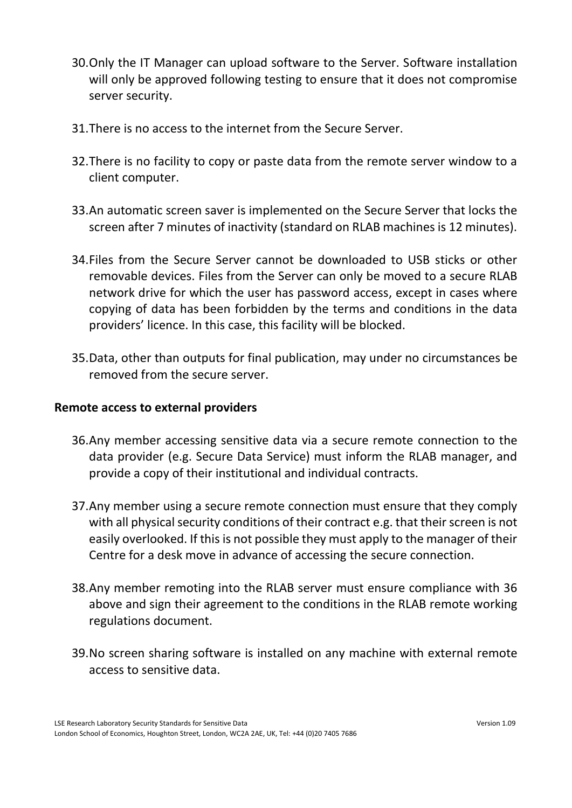- 30.Only the IT Manager can upload software to the Server. Software installation will only be approved following testing to ensure that it does not compromise server security.
- 31.There is no access to the internet from the Secure Server.
- 32.There is no facility to copy or paste data from the remote server window to a client computer.
- 33.An automatic screen saver is implemented on the Secure Server that locks the screen after 7 minutes of inactivity (standard on RLAB machines is 12 minutes).
- 34.Files from the Secure Server cannot be downloaded to USB sticks or other removable devices. Files from the Server can only be moved to a secure RLAB network drive for which the user has password access, except in cases where copying of data has been forbidden by the terms and conditions in the data providers' licence. In this case, this facility will be blocked.
- 35.Data, other than outputs for final publication, may under no circumstances be removed from the secure server.

### **Remote access to external providers**

- 36.Any member accessing sensitive data via a secure remote connection to the data provider (e.g. Secure Data Service) must inform the RLAB manager, and provide a copy of their institutional and individual contracts.
- 37.Any member using a secure remote connection must ensure that they comply with all physical security conditions of their contract e.g. that their screen is not easily overlooked. If this is not possible they must apply to the manager of their Centre for a desk move in advance of accessing the secure connection.
- 38.Any member remoting into the RLAB server must ensure compliance with 36 above and sign their agreement to the conditions in the RLAB remote working regulations document.
- 39.No screen sharing software is installed on any machine with external remote access to sensitive data.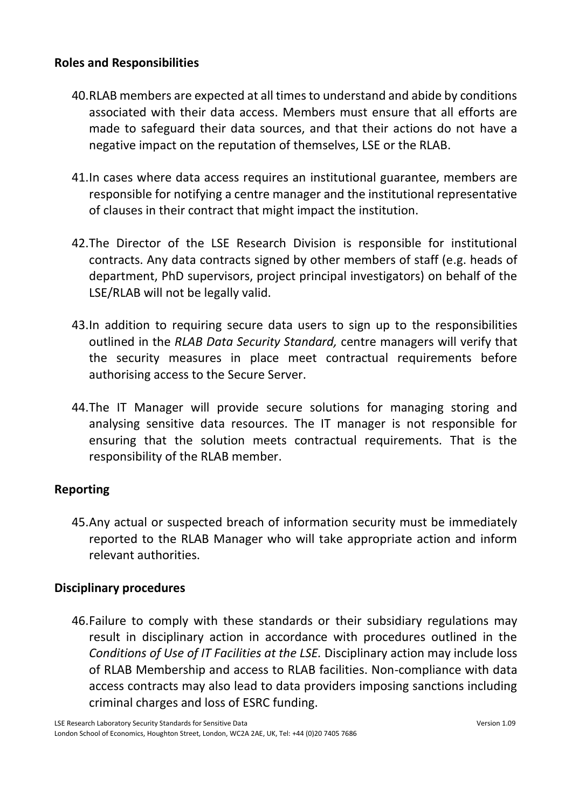## **Roles and Responsibilities**

- 40.RLAB members are expected at all times to understand and abide by conditions associated with their data access. Members must ensure that all efforts are made to safeguard their data sources, and that their actions do not have a negative impact on the reputation of themselves, LSE or the RLAB.
- 41.In cases where data access requires an institutional guarantee, members are responsible for notifying a centre manager and the institutional representative of clauses in their contract that might impact the institution.
- 42.The Director of the LSE Research Division is responsible for institutional contracts. Any data contracts signed by other members of staff (e.g. heads of department, PhD supervisors, project principal investigators) on behalf of the LSE/RLAB will not be legally valid.
- 43.In addition to requiring secure data users to sign up to the responsibilities outlined in the *RLAB Data Security Standard,* centre managers will verify that the security measures in place meet contractual requirements before authorising access to the Secure Server.
- 44.The IT Manager will provide secure solutions for managing storing and analysing sensitive data resources. The IT manager is not responsible for ensuring that the solution meets contractual requirements. That is the responsibility of the RLAB member.

### **Reporting**

45.Any actual or suspected breach of information security must be immediately reported to the RLAB Manager who will take appropriate action and inform relevant authorities.

# **Disciplinary procedures**

46.Failure to comply with these standards or their subsidiary regulations may result in disciplinary action in accordance with procedures outlined in the *Conditions of Use of IT Facilities at the LSE.* Disciplinary action may include loss of RLAB Membership and access to RLAB facilities. Non-compliance with data access contracts may also lead to data providers imposing sanctions including criminal charges and loss of ESRC funding.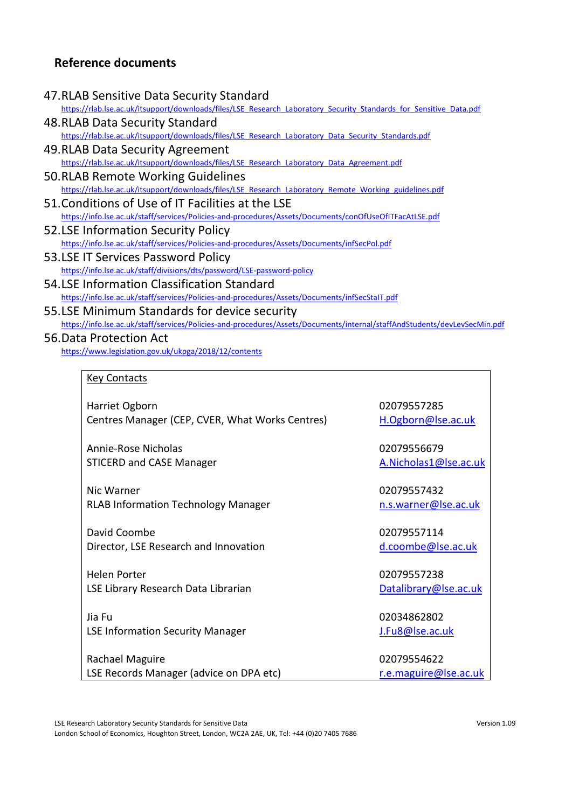## **Reference documents**

#### 47.RLAB Sensitive Data Security Standard

[https://rlab.lse.ac.uk/itsupport/downloads/files/LSE\\_Research\\_Laboratory\\_Security\\_Standards\\_for\\_Sensitive\\_Data.pdf](https://rlab.lse.ac.uk/itsupport/downloads/files/LSE_Research_Laboratory_Security_Standards_for_Sensitive_Data.pdf)

- 48.RLAB Data Security Standard [https://rlab.lse.ac.uk/itsupport/downloads/files/LSE\\_Research\\_Laboratory\\_Data\\_Security\\_Standards.pdf](https://rlab.lse.ac.uk/itsupport/downloads/files/LSE_Research_Laboratory_Data_Security_Standards.pdf)
- 49.RLAB Data Security Agreement [https://rlab.lse.ac.uk/itsupport/downloads/files/LSE\\_Research\\_Laboratory\\_Data\\_Agreement.pdf](https://rlab.lse.ac.uk/itsupport/downloads/files/LSE_Research_Laboratory_Data_Agreement.pdf)
- 50.RLAB Remote Working Guidelines [https://rlab.lse.ac.uk/itsupport/downloads/files/LSE\\_Research\\_Laboratory\\_Remote\\_Working\\_guidelines.pdf](https://rlab.lse.ac.uk/itsupport/downloads/files/LSE_Research_Laboratory_Remote_Working_guidelines.pdf)
- 51.Conditions of Use of IT Facilities at the LSE <https://info.lse.ac.uk/staff/services/Policies-and-procedures/Assets/Documents/conOfUseOfITFacAtLSE.pdf>
- 52.LSE Information Security Policy <https://info.lse.ac.uk/staff/services/Policies-and-procedures/Assets/Documents/infSecPol.pdf>
- 53.LSE IT Services Password Policy <https://info.lse.ac.uk/staff/divisions/dts/password/LSE-password-policy>
- 54.LSE Information Classification Standard <https://info.lse.ac.uk/staff/services/Policies-and-procedures/Assets/Documents/infSecStaIT.pdf>
- 55.LSE Minimum Standards for device security <https://info.lse.ac.uk/staff/services/Policies-and-procedures/Assets/Documents/internal/staffAndStudents/devLevSecMin.pdf>
- 56.Data Protection Act <https://www.legislation.gov.uk/ukpga/2018/12/contents>

#### Key Contacts

| Harriet Ogborn                                  |  |
|-------------------------------------------------|--|
| Centres Manager (CEP, CVER, What Works Centres) |  |

Annie-Rose Nicholas STICERD and CASE Manager

Nic Warner RLAB Information Technology Manager

David Coombe Director, LSE Research and Innovation

Helen Porter LSE Library Research Data Librarian

Jia Fu LSE Information Security Manager

Rachael Maguire LSE Records Manager (advice on DPA etc) 02079557285 [H.Ogborn@lse.ac.uk](mailto:H.Ogborn@lse.ac.uk)

02079556679 [A.Nicholas1@lse.ac.uk](mailto:A.Nicholas1@lse.ac.uk)

02079557432 [n.s.warner@lse.ac.uk](mailto:n.s.warner@lse.ac.uk)

02079557114 [d.coombe@lse.ac.uk](mailto:d.coombe@lse.ac.uk)

02079557238 [Datalibrary@lse.ac.uk](mailto:Datalibrary@lse.ac.uk)

02034862802 [J.Fu8@lse.ac.uk](mailto:J.Fu8@lse.ac.uk)

02079554622 [r.e.maguire@lse.ac.uk](mailto:r.e.maguire@lse.ac.uk)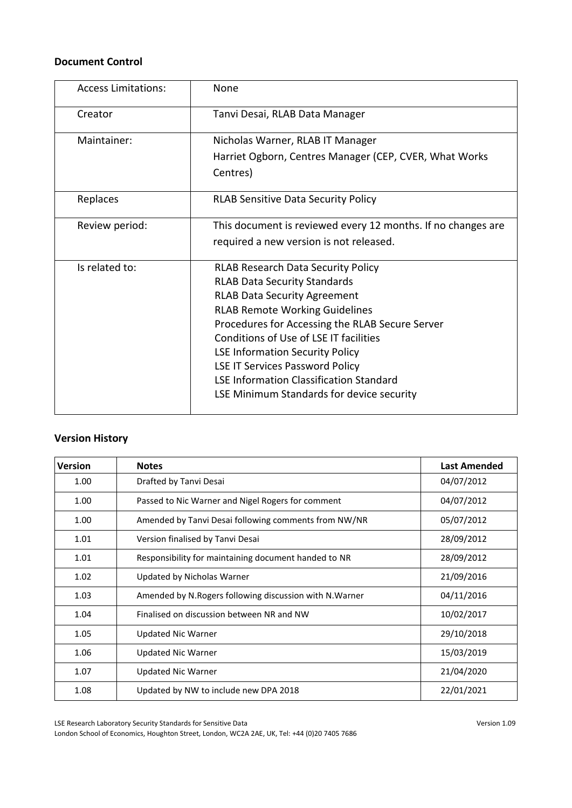#### **Document Control**

| <b>Access Limitations:</b> | None                                                                                                                                                                                                                                                                                                                                                                                                                                             |
|----------------------------|--------------------------------------------------------------------------------------------------------------------------------------------------------------------------------------------------------------------------------------------------------------------------------------------------------------------------------------------------------------------------------------------------------------------------------------------------|
| Creator                    | Tanvi Desai, RLAB Data Manager                                                                                                                                                                                                                                                                                                                                                                                                                   |
| Maintainer:                | Nicholas Warner, RLAB IT Manager<br>Harriet Ogborn, Centres Manager (CEP, CVER, What Works                                                                                                                                                                                                                                                                                                                                                       |
|                            | Centres)                                                                                                                                                                                                                                                                                                                                                                                                                                         |
| Replaces                   | <b>RLAB Sensitive Data Security Policy</b>                                                                                                                                                                                                                                                                                                                                                                                                       |
| Review period:             | This document is reviewed every 12 months. If no changes are<br>required a new version is not released.                                                                                                                                                                                                                                                                                                                                          |
| Is related to:             | <b>RLAB Research Data Security Policy</b><br><b>RLAB Data Security Standards</b><br><b>RLAB Data Security Agreement</b><br><b>RLAB Remote Working Guidelines</b><br>Procedures for Accessing the RLAB Secure Server<br>Conditions of Use of LSE IT facilities<br><b>LSE Information Security Policy</b><br><b>LSE IT Services Password Policy</b><br><b>LSE Information Classification Standard</b><br>LSE Minimum Standards for device security |

## **Version History**

| <b>Version</b> | <b>Notes</b>                                             | <b>Last Amended</b> |
|----------------|----------------------------------------------------------|---------------------|
| 1.00           | Drafted by Tanvi Desai                                   | 04/07/2012          |
| 1.00           | Passed to Nic Warner and Nigel Rogers for comment        | 04/07/2012          |
| 1.00           | Amended by Tanvi Desai following comments from NW/NR     | 05/07/2012          |
| 1.01           | Version finalised by Tanvi Desai                         | 28/09/2012          |
| 1.01           | Responsibility for maintaining document handed to NR     | 28/09/2012          |
| 1.02           | Updated by Nicholas Warner                               | 21/09/2016          |
| 1.03           | Amended by N. Rogers following discussion with N. Warner | 04/11/2016          |
| 1.04           | Finalised on discussion between NR and NW                | 10/02/2017          |
| 1.05           | <b>Updated Nic Warner</b>                                | 29/10/2018          |
| 1.06           | <b>Updated Nic Warner</b>                                | 15/03/2019          |
| 1.07           | <b>Updated Nic Warner</b>                                | 21/04/2020          |
| 1.08           | Updated by NW to include new DPA 2018                    | 22/01/2021          |

LSE Research Laboratory Security Standards for Sensitive Data Version 1.09 London School of Economics, Houghton Street, London, WC2A 2AE, UK, Tel: +44 (0)20 7405 7686